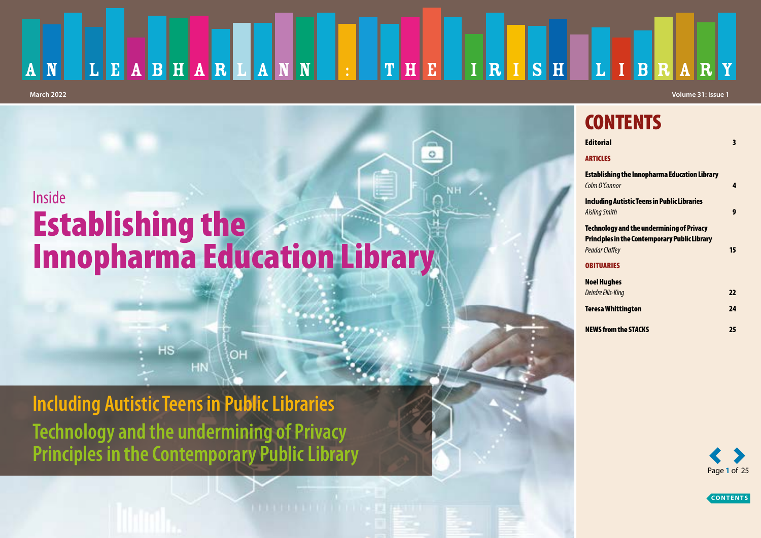### LEABHARLANN  $T$   $H$   $E$   $I$   $R$   $I$   $S$   $H$ LIBRARY  $\vert \cdot \vert \vert$  $\overline{\mathbf{A}}$ **March 2022 Volume 31: Issue 1**

# Inside Establishing the Innopharma Education Library

OH

**Including Autistic Teens in Public Libraries Technology and the undermining of Privacy Principles in the Contemporary Public Library**

 $HS$ 

## **CONTENTS [Editorial](#page-2-0)**

| 4  |
|----|
|    |
| 9  |
|    |
|    |
| 15 |
|    |
|    |
| 22 |
| 24 |
| 25 |
|    |

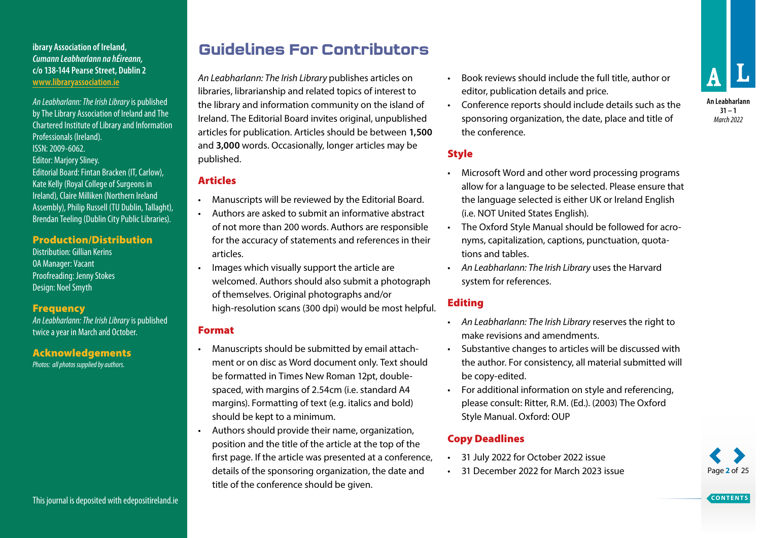### **ibrary Association of Ireland,** *Cumann Leabharlann na hÉireann,* **c/o 138-144 Pearse Street, Dublin 2 www.libraryassociation.ie**

*An Leabharlann: The Irish Library* is published by The Library Association of Ireland and The Chartered Institute of Library and Information Professionals (Ireland). ISSN: 2009-6062. Editor: Marjory Sliney. Editorial Board: Fintan Bracken (IT, Carlow), Kate Kelly (Royal College of Surgeons in Ireland), Claire Milliken (Northern Ireland Assembly), Philip Russell (TU Dublin, Tallaght),

## Brendan Teeling (Dublin City Public Libraries).

### Production/Distribution

Distribution: Gillian Kerins OA Manager: Vacant Proofreading: Jenny Stokes Design: Noel Smyth

### **Frequency**

*An Leabharlann: The Irish Library* is published twice a year in March and October.

### Acknowledgements

*Photos: all photos supplied by authors.*

## **Guidelines For Contributors**

*An Leabharlann: The Irish Library* publishes articles on libraries, librarianship and related topics of interest to the library and information community on the island of Ireland. The Editorial Board invites original, unpublished articles for publication. Articles should be between **1,500** and **3,000** words. Occasionally, longer articles may be published.

### Articles

- Manuscripts will be reviewed by the Editorial Board.
- Authors are asked to submit an informative abstract of not more than 200 words. Authors are responsible for the accuracy of statements and references in their articles.
- Images which visually support the article are welcomed. Authors should also submit a photograph of themselves. Original photographs and/or high-resolution scans (300 dpi) would be most helpful.

### Format

- Manuscripts should be submitted by email attachment or on disc as Word document only. Text should be formatted in Times New Roman 12pt, doublespaced, with margins of 2.54cm (i.e. standard A4 margins). Formatting of text (e.g. italics and bold) should be kept to a minimum.
- Authors should provide their name, organization, position and the title of the article at the top of the first page. If the article was presented at a conference, details of the sponsoring organization, the date and title of the conference should be given.
- Book reviews should include the full title, author or editor, publication details and price.
- Conference reports should include details such as the sponsoring organization, the date, place and title of the conference.

### **Style**

- Microsoft Word and other word processing programs allow for a language to be selected. Please ensure that the language selected is either UK or Ireland English (i.e. NOT United States English).
- The Oxford Style Manual should be followed for acronyms, capitalization, captions, punctuation, quotations and tables.
- *An Leabharlann: The Irish Library* uses the Harvard system for references.

### Editing

- *An Leabharlann: The Irish Library* reserves the right to make revisions and amendments.
- Substantive changes to articles will be discussed with the author. For consistency, all material submitted will be copy-edited.
- For additional information on style and referencing, please consult: Ritter, R.M. (Ed.). (2003) The Oxford Style Manual. Oxford: OUP

### Copy Deadlines

- 31 July 2022 for October 2022 issue
- 31 December 2022 for March 2023 issue



**31 – 1** *March 2022*



Page **2** of 25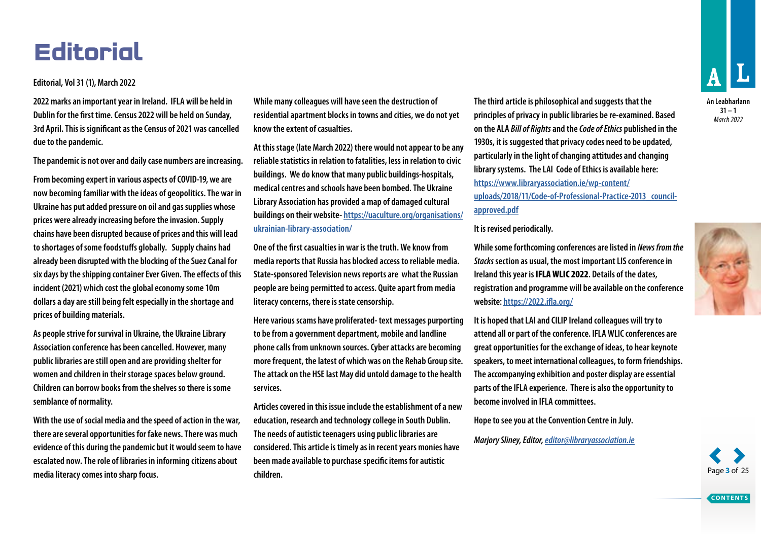# <span id="page-2-0"></span>**Editorial**

### **Editorial, Vol 31 (1), March 2022**

**2022 marks an important year in Ireland. IFLA will be held in Dublin for the first time. Census 2022 will be held on Sunday, 3rd April. This is significant as the Census of 2021 was cancelled due to the pandemic.**

**The pandemic is not over and daily case numbers are increasing.** 

**From becoming expert in various aspects of COVID-19, we are now becoming familiar with the ideas of geopolitics. The war in Ukraine has put added pressure on oil and gas supplies whose prices were already increasing before the invasion. Supply chains have been disrupted because of prices and this will lead to shortages of some foodstuffs globally. Supply chains had already been disrupted with the blocking of the Suez Canal for six days by the shipping container Ever Given. The effects of this incident (2021) which cost the global economy some 10m dollars a day are still being felt especially in the shortage and prices of building materials.**

**As people strive for survival in Ukraine, the Ukraine Library Association conference has been cancelled. However, many public libraries are still open and are providing shelter for women and children in their storage spaces below ground. Children can borrow books from the shelves so there is some semblance of normality.** 

**With the use of social media and the speed of action in the war, there are several opportunities for fake news. There was much evidence of this during the pandemic but it would seem to have escalated now. The role of libraries in informing citizens about media literacy comes into sharp focus.** 

**While many colleagues will have seen the destruction of residential apartment blocks in towns and cities, we do not yet know the extent of casualties.**

**At this stage (late March 2022) there would not appear to be any reliable statistics in relation to fatalities, less in relation to civic buildings. We do know that many public buildings-hospitals, medical centres and schools have been bombed. The Ukraine Library Association has provided a map of damaged cultural buildings on their website- [https://uaculture.org/organisations/](https://uaculture.org/organisations/ukrainian-library-association/) [ukrainian-library-association/](https://uaculture.org/organisations/ukrainian-library-association/)**

**One of the first casualties in war is the truth. We know from media reports that Russia has blocked access to reliable media. State-sponsored Television news reports are what the Russian people are being permitted to access. Quite apart from media literacy concerns, there is state censorship.**

**Here various scams have proliferated- text messages purporting to be from a government department, mobile and landline phone calls from unknown sources. Cyber attacks are becoming more frequent, the latest of which was on the Rehab Group site. The attack on the HSE last May did untold damage to the health services.**

**Articles covered in this issue include the establishment of a new education, research and technology college in South Dublin. The needs of autistic teenagers using public libraries are considered. This article is timely as in recent years monies have been made available to purchase specific items for autistic children.**

**The third article is philosophical and suggests that the principles of privacy in public libraries be re-examined. Based on the ALA** *Bill of Rights* **and the** *Code of Ethics* **published in the 1930s, it is suggested that privacy codes need to be updated, particularly in the light of changing attitudes and changing library systems. The LAI Code of Ethics is available here: [https://www.libraryassociation.ie/wp-content/](https://www.libraryassociation.ie/wp-content/uploads/2018/11/Code-of-Professional-Practice-2013_council-approved.pdf) [uploads/2018/11/Code-of-Professional-Practice-2013\\_council](https://www.libraryassociation.ie/wp-content/uploads/2018/11/Code-of-Professional-Practice-2013_council-approved.pdf)[approved.pdf](https://www.libraryassociation.ie/wp-content/uploads/2018/11/Code-of-Professional-Practice-2013_council-approved.pdf)**

#### **It is revised periodically.**

**While some forthcoming conferences are listed in** *News from the Stacks* **section as usual, the most important LIS conference in Ireland this year is** IFLA WLIC 2022**. Details of the dates, registration and programme will be available on the conference website:<https://2022.ifla.org/>**

**It is hoped that LAI and CILIP Ireland colleagues will try to attend all or part of the conference. IFLA WLIC conferences are great opportunities for the exchange of ideas, to hear keynote speakers, to meet international colleagues, to form friendships. The accompanying exhibition and poster display are essential parts of the IFLA experience. There is also the opportunity to become involved in IFLA committees.** 

**Hope to see you at the Convention Centre in July.**

*Marjory Sliney, Editor, [editor@libraryassociation.ie](mailto:editor%40libraryassociation.ie?subject=)*



Page **3** of 25

**CONTENTS**

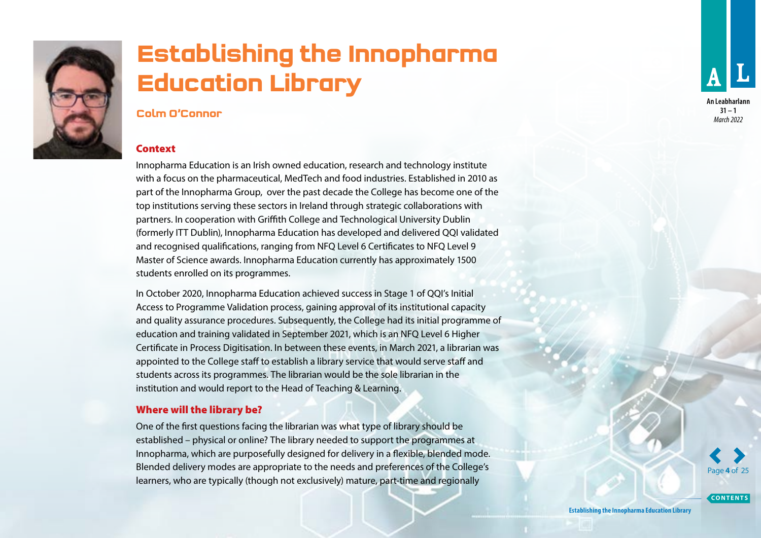<span id="page-3-0"></span>

# **Establishing the Innopharma Education Library**

### **Colm O'Connor**

#### Context

Innopharma Education is an Irish owned education, research and technology institute with a focus on the pharmaceutical, MedTech and food industries. Established in 2010 as part of the Innopharma Group, over the past decade the College has become one of the top institutions serving these sectors in Ireland through strategic collaborations with partners. In cooperation with Griffith College and Technological University Dublin (formerly ITT Dublin), Innopharma Education has developed and delivered QQI validated and recognised qualifications, ranging from NFQ Level 6 Certificates to NFQ Level 9 Master of Science awards. Innopharma Education currently has approximately 1500 students enrolled on its programmes.

In October 2020, Innopharma Education achieved success in Stage 1 of QQI's Initial Access to Programme Validation process, gaining approval of its institutional capacity and quality assurance procedures. Subsequently, the College had its initial programme of education and training validated in September 2021, which is an NFQ Level 6 Higher Certificate in Process Digitisation. In between these events, in March 2021, a librarian was appointed to the College staff to establish a library service that would serve staff and students across its programmes. The librarian would be the sole librarian in the institution and would report to the Head of Teaching & Learning.

### Where will the library be?

One of the first questions facing the librarian was what type of library should be established – physical or online? The library needed to support the programmes at Innopharma, which are purposefully designed for delivery in a flexible, blended mode. Blended delivery modes are appropriate to the needs and preferences of the College's learners, who are typically (though not exclusively) mature, part-time and regionally

**An Leabharlann 31 – 1** *March 2022*

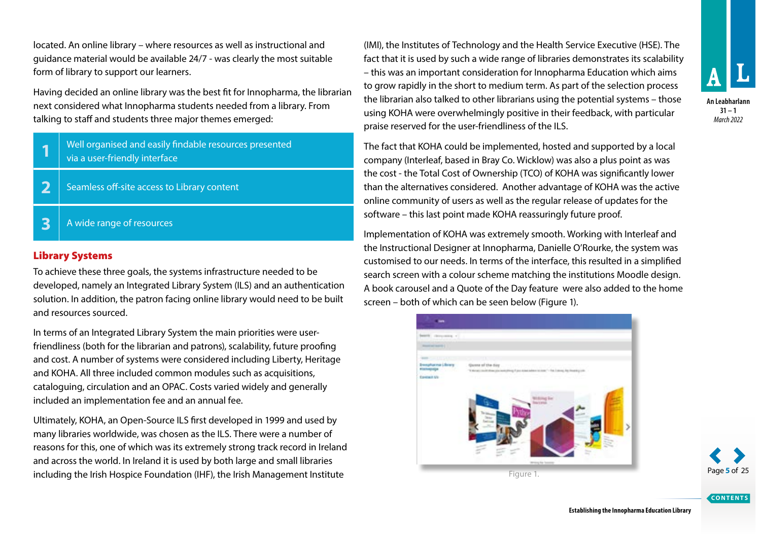located. An online library – where resources as well as instructional and guidance material would be available 24/7 - was clearly the most suitable form of library to support our learners.

Having decided an online library was the best fit for Innopharma, the librarian next considered what Innopharma students needed from a library. From talking to staff and students three major themes emerged:

- **1** Well organised and easily findable resources presented via a user-friendly interface
- **2** Seamless off-site access to Library content
- **3** A wide range of resources

### Library Systems

To achieve these three goals, the systems infrastructure needed to be developed, namely an Integrated Library System (ILS) and an authentication solution. In addition, the patron facing online library would need to be built and resources sourced.

In terms of an Integrated Library System the main priorities were userfriendliness (both for the librarian and patrons), scalability, future proofing and cost. A number of systems were considered including Liberty, Heritage and KOHA. All three included common modules such as acquisitions, cataloguing, circulation and an OPAC. Costs varied widely and generally included an implementation fee and an annual fee.

Ultimately, KOHA, an Open-Source ILS first developed in 1999 and used by many libraries worldwide, was chosen as the ILS. There were a number of reasons for this, one of which was its extremely strong track record in Ireland and across the world. In Ireland it is used by both large and small libraries including the Irish Hospice Foundation (IHF), the Irish Management Institute

(IMI), the Institutes of Technology and the Health Service Executive (HSE). The fact that it is used by such a wide range of libraries demonstrates its scalability – this was an important consideration for Innopharma Education which aims to grow rapidly in the short to medium term. As part of the selection process the librarian also talked to other librarians using the potential systems – those using KOHA were overwhelmingly positive in their feedback, with particular praise reserved for the user-friendliness of the ILS.

The fact that KOHA could be implemented, hosted and supported by a local company (Interleaf, based in Bray Co. Wicklow) was also a plus point as was the cost - the Total Cost of Ownership (TCO) of KOHA was significantly lower than the alternatives considered. Another advantage of KOHA was the active online community of users as well as the regular release of updates for the software – this last point made KOHA reassuringly future proof.

Implementation of KOHA was extremely smooth. Working with Interleaf and the Instructional Designer at Innopharma, Danielle O'Rourke, the system was customised to our needs. In terms of the interface, this resulted in a simplified search screen with a colour scheme matching the institutions Moodle design. A book carousel and a Quote of the Day feature were also added to the home screen – both of which can be seen below (Figure 1).





**An Leabharlann 31 – 1** *March 2022*

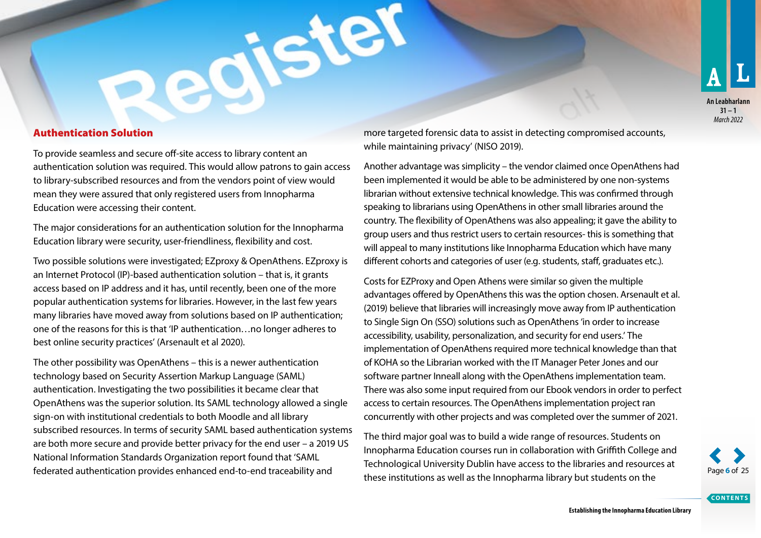

### Authentication Solution

To provide seamless and secure off-site access to library content an authentication solution was required. This would allow patrons to gain access to library-subscribed resources and from the vendors point of view would mean they were assured that only registered users from Innopharma Education were accessing their content.

The major considerations for an authentication solution for the Innopharma Education library were security, user-friendliness, flexibility and cost.

Two possible solutions were investigated; EZproxy & OpenAthens. EZproxy is an Internet Protocol (IP)-based authentication solution – that is, it grants access based on IP address and it has, until recently, been one of the more popular authentication systems for libraries. However, in the last few years many libraries have moved away from solutions based on IP authentication; one of the reasons for this is that 'IP authentication…no longer adheres to best online security practices' (Arsenault et al 2020).

The other possibility was OpenAthens – this is a newer authentication technology based on Security Assertion Markup Language (SAML) authentication. Investigating the two possibilities it became clear that OpenAthens was the superior solution. Its SAML technology allowed a single sign-on with institutional credentials to both Moodle and all library subscribed resources. In terms of security SAML based authentication systems are both more secure and provide better privacy for the end user – a 2019 US National Information Standards Organization report found that 'SAML federated authentication provides enhanced end-to-end traceability and

more targeted forensic data to assist in detecting compromised accounts, while maintaining privacy' (NISO 2019).

Another advantage was simplicity – the vendor claimed once OpenAthens had been implemented it would be able to be administered by one non-systems librarian without extensive technical knowledge. This was confirmed through speaking to librarians using OpenAthens in other small libraries around the country. The flexibility of OpenAthens was also appealing; it gave the ability to group users and thus restrict users to certain resources- this is something that will appeal to many institutions like Innopharma Education which have many different cohorts and categories of user (e.g. students, staff, graduates etc.).

Costs for EZProxy and Open Athens were similar so given the multiple advantages offered by OpenAthens this was the option chosen. Arsenault et al. (2019) believe that libraries will increasingly move away from IP authentication to Single Sign On (SSO) solutions such as OpenAthens 'in order to increase accessibility, usability, personalization, and security for end users.' The implementation of OpenAthens required more technical knowledge than that of KOHA so the Librarian worked with the IT Manager Peter Jones and our software partner Inneall along with the OpenAthens implementation team. There was also some input required from our Ebook vendors in order to perfect access to certain resources. The OpenAthens implementation project ran concurrently with other projects and was completed over the summer of 2021.

The third major goal was to build a wide range of resources. Students on Innopharma Education courses run in collaboration with Griffith College and Technological University Dublin have access to the libraries and resources at these institutions as well as the Innopharma library but students on the Page **6** of 25

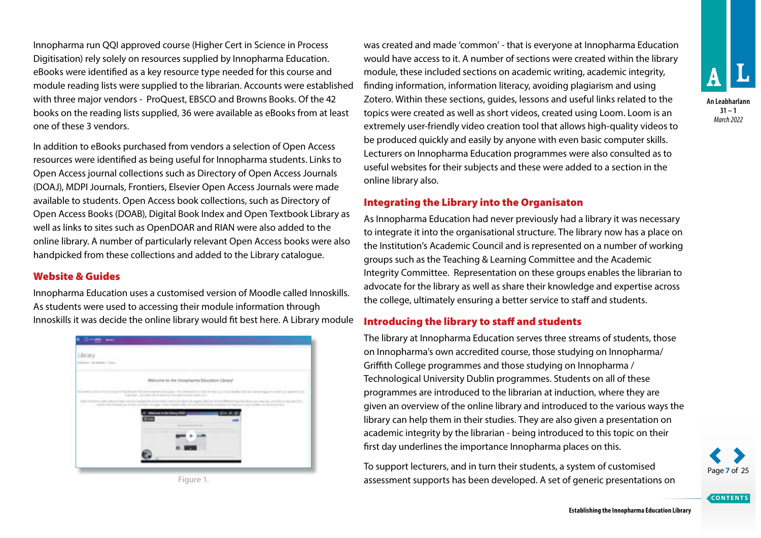Innopharma run QQI approved course (Higher Cert in Science in Process Digitisation) rely solely on resources supplied by Innopharma Education. eBooks were identified as a key resource type needed for this course and module reading lists were supplied to the librarian. Accounts were established with three major vendors - ProQuest, EBSCO and Browns Books. Of the 42 books on the reading lists supplied, 36 were available as eBooks from at least one of these 3 vendors.

In addition to eBooks purchased from vendors a selection of Open Access resources were identified as being useful for Innopharma students. Links to Open Access journal collections such as Directory of Open Access Journals (DOAJ), MDPI Journals, Frontiers, Elsevier Open Access Journals were made available to students. Open Access book collections, such as Directory of Open Access Books (DOAB), Digital Book Index and Open Textbook Library as well as links to sites such as OpenDOAR and RIAN were also added to the online library. A number of particularly relevant Open Access books were also handpicked from these collections and added to the Library catalogue.

### Website & Guides

Innopharma Education uses a customised version of Moodle called Innoskills. As students were used to accessing their module information through Innoskills it was decide the online library would fit best here. A Library module



was created and made 'common' - that is everyone at Innopharma Education would have access to it. A number of sections were created within the library module, these included sections on academic writing, academic integrity, finding information, information literacy, avoiding plagiarism and using Zotero. Within these sections, guides, lessons and useful links related to the topics were created as well as short videos, created using Loom. Loom is an extremely user-friendly video creation tool that allows high-quality videos to be produced quickly and easily by anyone with even basic computer skills. Lecturers on Innopharma Education programmes were also consulted as to useful websites for their subjects and these were added to a section in the online library also.

### Integrating the Library into the Organisaton

As Innopharma Education had never previously had a library it was necessary to integrate it into the organisational structure. The library now has a place on the Institution's Academic Council and is represented on a number of working groups such as the Teaching & Learning Committee and the Academic Integrity Committee. Representation on these groups enables the librarian to advocate for the library as well as share their knowledge and expertise across the college, ultimately ensuring a better service to staff and students.

### Introducing the library to staff and students

The library at Innopharma Education serves three streams of students, those on Innopharma's own accredited course, those studying on Innopharma/ Griffith College programmes and those studying on Innopharma / Technological University Dublin programmes. Students on all of these programmes are introduced to the librarian at induction, where they are given an overview of the online library and introduced to the various ways the library can help them in their studies. They are also given a presentation on academic integrity by the librarian - being introduced to this topic on their first day underlines the importance Innopharma places on this.

To support lecturers, and in turn their students, a system of customised Figure 1. **Assess in a set of a set of generic presentations on** assessment supports has been developed. A set of generic presentations on



**An Leabharlann 31 – 1** *March 2022*



Page **7** of 25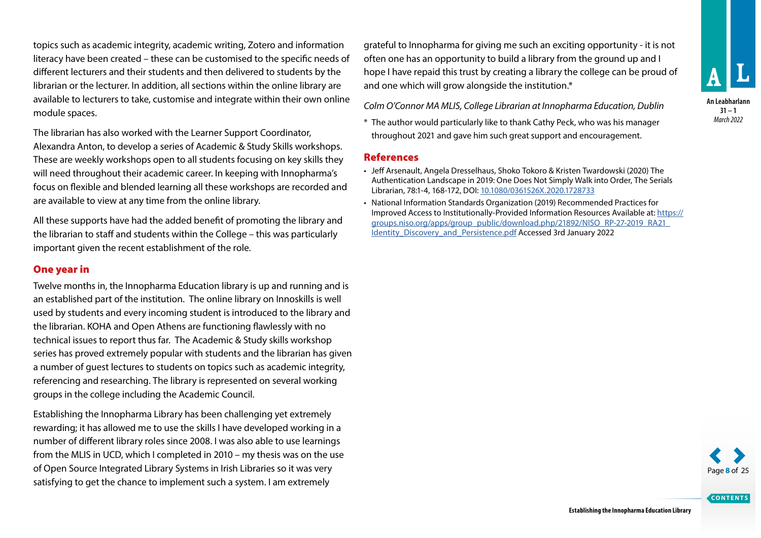topics such as academic integrity, academic writing, Zotero and information literacy have been created – these can be customised to the specific needs of different lecturers and their students and then delivered to students by the librarian or the lecturer. In addition, all sections within the online library are available to lecturers to take, customise and integrate within their own online module spaces.

The librarian has also worked with the Learner Support Coordinator, Alexandra Anton, to develop a series of Academic & Study Skills workshops. These are weekly workshops open to all students focusing on key skills they will need throughout their academic career. In keeping with Innopharma's focus on flexible and blended learning all these workshops are recorded and are available to view at any time from the online library.

All these supports have had the added benefit of promoting the library and the librarian to staff and students within the College – this was particularly important given the recent establishment of the role.

### One year in

Twelve months in, the Innopharma Education library is up and running and is an established part of the institution. The online library on Innoskills is well used by students and every incoming student is introduced to the library and the librarian. KOHA and Open Athens are functioning flawlessly with no technical issues to report thus far. The Academic & Study skills workshop series has proved extremely popular with students and the librarian has given a number of guest lectures to students on topics such as academic integrity, referencing and researching. The library is represented on several working groups in the college including the Academic Council.

Establishing the Innopharma Library has been challenging yet extremely rewarding; it has allowed me to use the skills I have developed working in a number of different library roles since 2008. I was also able to use learnings from the MLIS in UCD, which I completed in 2010 – my thesis was on the use of Open Source Integrated Library Systems in Irish Libraries so it was very satisfying to get the chance to implement such a system. I am extremely

grateful to Innopharma for giving me such an exciting opportunity - it is not often one has an opportunity to build a library from the ground up and I hope I have repaid this trust by creating a library the college can be proud of and one which will grow alongside the institution.\*

*Colm O'Connor MA MLIS, College Librarian at Innopharma Education, Dublin*

\* The author would particularly like to thank Cathy Peck, who was his manager throughout 2021 and gave him such great support and encouragement.

### References

- Jeff Arsenault, Angela Dresselhaus, Shoko Tokoro & Kristen Twardowski (2020) The Authentication Landscape in 2019: One Does Not Simply Walk into Order, The Serials Librarian, 78:1-4, 168-172, DOI: 10.1080/0361526X.2020.1728733
- National Information Standards Organization (2019) Recommended Practices for Improved Access to Institutionally-Provided Information Resources Available at: https:// groups.niso.org/apps/group\_public/download.php/21892/NISO\_RP-27-2019\_RA21\_ Identity\_Discovery\_and\_Persistence.pdf Accessed 3rd January 2022





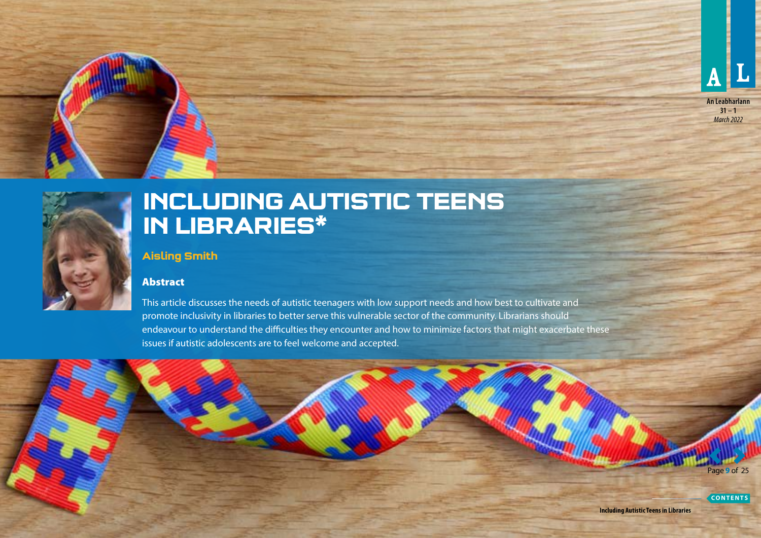



<span id="page-8-0"></span>

## **INCLUDING AUTISTIC TEENS IN LIBRARIES\***

**Aisling Smith**

### Abstract

This article discusses the needs of autistic teenagers with low support needs and how best to cultivate and promote inclusivity in libraries to better serve this vulnerable sector of the community. Librarians should endeavour to understand the difficulties they encounter and how to minimize factors that might exacerbate these issues if autistic adolescents are to feel welcome and accepted.

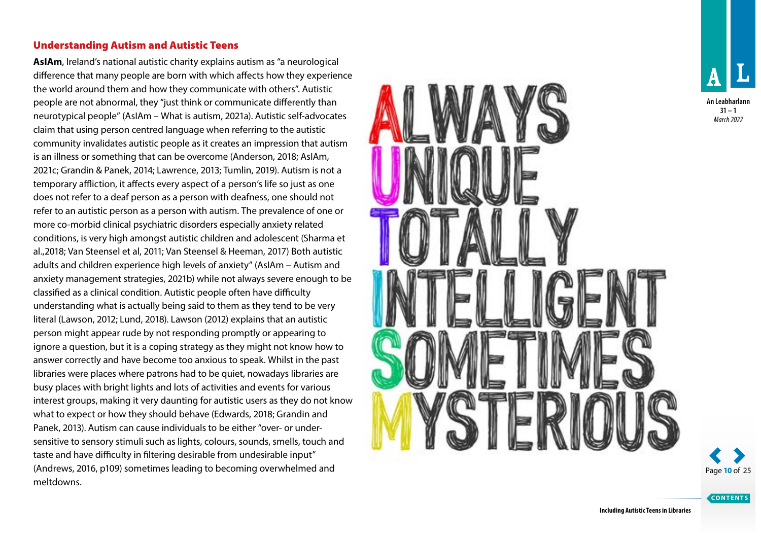### Understanding Autism and Autistic Teens

**AsIAm**, Ireland's national autistic charity explains autism as "a neurological difference that many people are born with which affects how they experience the world around them and how they communicate with others". Autistic people are not abnormal, they "just think or communicate differently than neurotypical people" (AsIAm – What is autism, 2021a). Autistic self-advocates claim that using person centred language when referring to the autistic community invalidates autistic people as it creates an impression that autism is an illness or something that can be overcome (Anderson, 2018; AsIAm, 2021c; Grandin & Panek, 2014; Lawrence, 2013; Tumlin, 2019). Autism is not a temporary affliction, it affects every aspect of a person's life so just as one does not refer to a deaf person as a person with deafness, one should not refer to an autistic person as a person with autism. The prevalence of one or more co-morbid clinical psychiatric disorders especially anxiety related conditions, is very high amongst autistic children and adolescent (Sharma et al.,2018; Van Steensel et al, 2011; Van Steensel & Heeman, 2017) Both autistic adults and children experience high levels of anxiety" (AsIAm – Autism and anxiety management strategies, 2021b) while not always severe enough to be classified as a clinical condition. Autistic people often have difficulty understanding what is actually being said to them as they tend to be very literal (Lawson, 2012; Lund, 2018). Lawson (2012) explains that an autistic person might appear rude by not responding promptly or appearing to ignore a question, but it is a coping strategy as they might not know how to answer correctly and have become too anxious to speak. Whilst in the past libraries were places where patrons had to be quiet, nowadays libraries are busy places with bright lights and lots of activities and events for various interest groups, making it very daunting for autistic users as they do not know what to expect or how they should behave (Edwards, 2018; Grandin and Panek, 2013). Autism can cause individuals to be either "over- or undersensitive to sensory stimuli such as lights, colours, sounds, smells, touch and taste and have difficulty in filtering desirable from undesirable input" (Andrews, 2016, p109) sometimes leading to becoming overwhelmed and meltdowns.







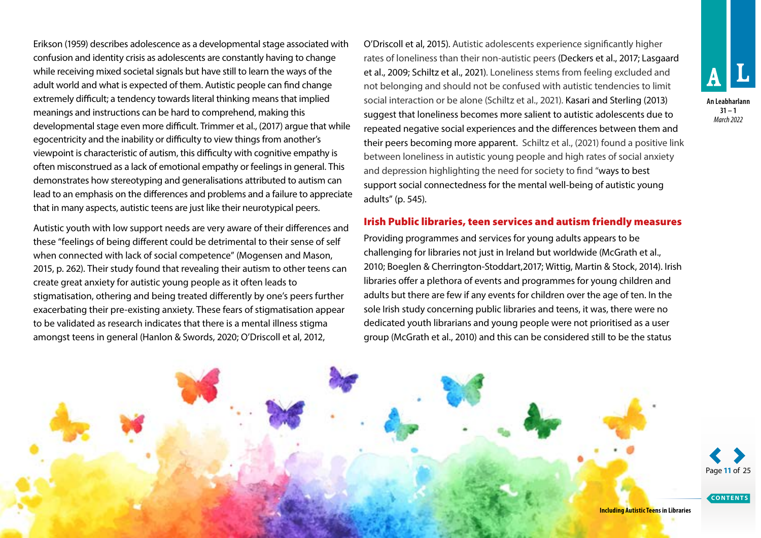Erikson (1959) describes adolescence as a developmental stage associated with confusion and identity crisis as adolescents are constantly having to change while receiving mixed societal signals but have still to learn the ways of the adult world and what is expected of them. Autistic people can find change extremely difficult; a tendency towards literal thinking means that implied meanings and instructions can be hard to comprehend, making this developmental stage even more difficult. Trimmer et al., (2017) argue that while egocentricity and the inability or difficulty to view things from another's viewpoint is characteristic of autism, this difficulty with cognitive empathy is often misconstrued as a lack of emotional empathy or feelings in general. This demonstrates how stereotyping and generalisations attributed to autism can lead to an emphasis on the differences and problems and a failure to appreciate that in many aspects, autistic teens are just like their neurotypical peers.

Autistic youth with low support needs are very aware of their differences and these "feelings of being different could be detrimental to their sense of self when connected with lack of social competence" (Mogensen and Mason, 2015, p. 262). Their study found that revealing their autism to other teens can create great anxiety for autistic young people as it often leads to stigmatisation, othering and being treated differently by one's peers further exacerbating their pre-existing anxiety. These fears of stigmatisation appear to be validated as research indicates that there is a mental illness stigma amongst teens in general (Hanlon & Swords, 2020; O'Driscoll et al, 2012,

O'Driscoll et al, 2015). Autistic adolescents experience significantly higher rates of loneliness than their non-autistic peers (Deckers et al., 2017; Lasgaard et al., 2009; Schiltz et al., 2021). Loneliness stems from feeling excluded and not belonging and should not be confused with autistic tendencies to limit social interaction or be alone (Schiltz et al., 2021). Kasari and Sterling (2013) suggest that loneliness becomes more salient to autistic adolescents due to repeated negative social experiences and the differences between them and their peers becoming more apparent. Schiltz et al., (2021) found a positive link between loneliness in autistic young people and high rates of social anxiety and depression highlighting the need for society to find "ways to best support social connectedness for the mental well-being of autistic young adults" (p. 545).

### Irish Public libraries, teen services and autism friendly measures

Providing programmes and services for young adults appears to be challenging for libraries not just in Ireland but worldwide (McGrath et al., 2010; Boeglen & Cherrington-Stoddart,2017; Wittig, Martin & Stock, 2014). Irish libraries offer a plethora of events and programmes for young children and adults but there are few if any events for children over the age of ten. In the sole Irish study concerning public libraries and teens, it was, there were no dedicated youth librarians and young people were not prioritised as a user group (McGrath et al., 2010) and this can be considered still to be the status



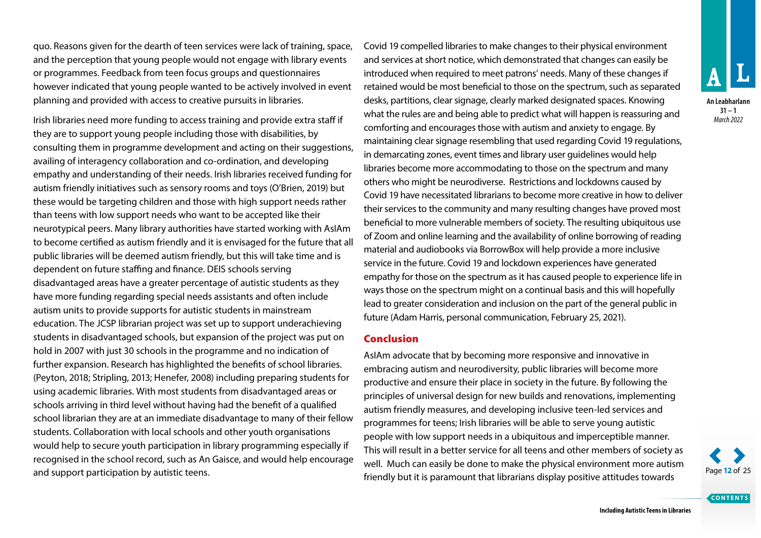quo. Reasons given for the dearth of teen services were lack of training, space, and the perception that young people would not engage with library events or programmes. Feedback from teen focus groups and questionnaires however indicated that young people wanted to be actively involved in event planning and provided with access to creative pursuits in libraries.

Irish libraries need more funding to access training and provide extra staff if they are to support young people including those with disabilities, by consulting them in programme development and acting on their suggestions, availing of interagency collaboration and co-ordination, and developing empathy and understanding of their needs. Irish libraries received funding for autism friendly initiatives such as sensory rooms and toys (O'Brien, 2019) but these would be targeting children and those with high support needs rather than teens with low support needs who want to be accepted like their neurotypical peers. Many library authorities have started working with AsIAm to become certified as autism friendly and it is envisaged for the future that all public libraries will be deemed autism friendly, but this will take time and is dependent on future staffing and finance. DEIS schools serving disadvantaged areas have a greater percentage of autistic students as they have more funding regarding special needs assistants and often include autism units to provide supports for autistic students in mainstream education. The JCSP librarian project was set up to support underachieving students in disadvantaged schools, but expansion of the project was put on hold in 2007 with just 30 schools in the programme and no indication of further expansion. Research has highlighted the benefits of school libraries. (Peyton, 2018; Stripling, 2013; Henefer, 2008) including preparing students for using academic libraries. With most students from disadvantaged areas or schools arriving in third level without having had the benefit of a qualified school librarian they are at an immediate disadvantage to many of their fellow students. Collaboration with local schools and other youth organisations would help to secure youth participation in library programming especially if recognised in the school record, such as An Gaisce, and would help encourage and support participation by autistic teens.

Covid 19 compelled libraries to make changes to their physical environment and services at short notice, which demonstrated that changes can easily be introduced when required to meet patrons' needs. Many of these changes if retained would be most beneficial to those on the spectrum, such as separated desks, partitions, clear signage, clearly marked designated spaces. Knowing what the rules are and being able to predict what will happen is reassuring and comforting and encourages those with autism and anxiety to engage. By maintaining clear signage resembling that used regarding Covid 19 regulations, in demarcating zones, event times and library user guidelines would help libraries become more accommodating to those on the spectrum and many others who might be neurodiverse. Restrictions and lockdowns caused by Covid 19 have necessitated librarians to become more creative in how to deliver their services to the community and many resulting changes have proved most beneficial to more vulnerable members of society. The resulting ubiquitous use of Zoom and online learning and the availability of online borrowing of reading material and audiobooks via BorrowBox will help provide a more inclusive service in the future. Covid 19 and lockdown experiences have generated empathy for those on the spectrum as it has caused people to experience life in ways those on the spectrum might on a continual basis and this will hopefully lead to greater consideration and inclusion on the part of the general public in future (Adam Harris, personal communication, February 25, 2021).

### Conclusion

AsIAm advocate that by becoming more responsive and innovative in embracing autism and neurodiversity, public libraries will become more productive and ensure their place in society in the future. By following the principles of universal design for new builds and renovations, implementing autism friendly measures, and developing inclusive teen-led services and programmes for teens; Irish libraries will be able to serve young autistic people with low support needs in a ubiquitous and imperceptible manner. This will result in a better service for all teens and other members of society as well. Much can easily be done to make the physical environment more autism Fram mean can easily be earned to make the priyonel chine intermediation of age 12 of 25<br>Friendly but it is paramount that librarians display positive attitudes towards



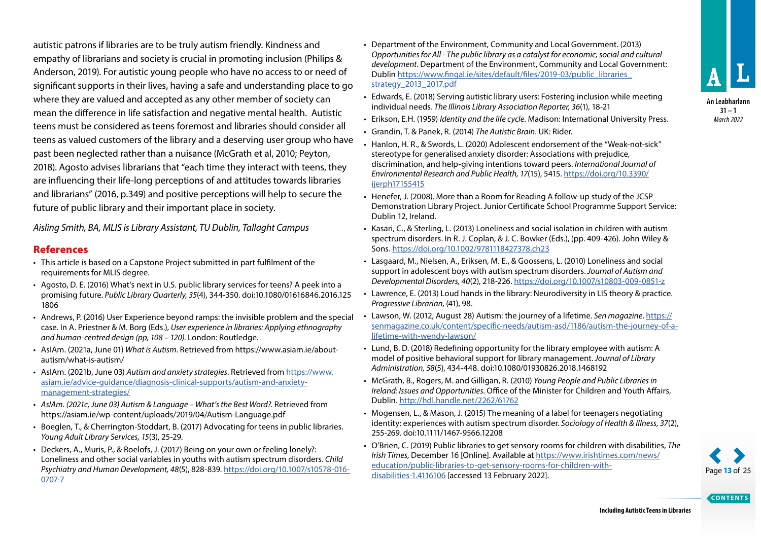**31 – 1** *March 2022*

autistic patrons if libraries are to be truly autism friendly. Kindness and empathy of librarians and society is crucial in promoting inclusion (Philips & Anderson, 2019). For autistic young people who have no access to or need of significant supports in their lives, having a safe and understanding place to go where they are valued and accepted as any other member of society can mean the difference in life satisfaction and negative mental health. Autistic teens must be considered as teens foremost and libraries should consider all teens as valued customers of the library and a deserving user group who have past been neglected rather than a nuisance (McGrath et al, 2010; Peyton, 2018). Agosto advises librarians that "each time they interact with teens, they are influencing their life-long perceptions of and attitudes towards libraries and librarians" (2016, p.349) and positive perceptions will help to secure the future of public library and their important place in society.

*Aisling Smith, BA, MLIS is Library Assistant, TU Dublin, Tallaght Campus*

### References

- This article is based on a Capstone Project submitted in part fulfilment of the requirements for MLIS degree.
- Agosto, D. E. (2016) What's next in U.S. public library services for teens? A peek into a promising future. *Public Library Quarterly, 35*(4), 344-350. doi:10.1080/01616846.2016.125 1806
- Andrews, P. (2016) User Experience beyond ramps: the invisible problem and the special case. In A. Priestner & M. Borg (Eds.), *User experience in libraries: Applying ethnography and human-centred design (pp, 108 – 120)*. London: Routledge.
- AsIAm. (2021a, June 01) *What is Autism*. Retrieved from [https://www.asiam.ie/about](https://www.asiam.ie/about-autism/what-is-autism/)[autism/what-is-autism/](https://www.asiam.ie/about-autism/what-is-autism/)
- AsIAm. (2021b, June 03) *Autism and anxiety strategies*. Retrieved from [https://www.](https://www.asiam.ie/advice-guidance/diagnosis-clinical-supports/autism-and-anxiety-management-strategies/) [asiam.ie/advice-guidance/diagnosis-clinical-supports/autism-and-anxiety](https://www.asiam.ie/advice-guidance/diagnosis-clinical-supports/autism-and-anxiety-management-strategies/)[management-strategies/](https://www.asiam.ie/advice-guidance/diagnosis-clinical-supports/autism-and-anxiety-management-strategies/)
- *• AsIAm. (2021c, June 03) Autism & Language What's the Best Word?.* Retrieved from https://asiam.ie/wp-content/uploads/2019/04/Autism-Language.pdf
- Boeglen, T., & Cherrington-Stoddart, B. (2017) Advocating for teens in public libraries. *Young Adult Library Services, 15*(3), 25-29.
- Deckers, A., Muris, P., & Roelofs, J. (2017) Being on your own or feeling lonely?: Loneliness and other social variables in youths with autism spectrum disorders. *Child Psychiatry and Human Development, 48*(5), 828-839. [https://doi.org/10.1007/s10578-016-](https://doi.org/10.1007/s10578-016-0707-7) [0707-7](https://doi.org/10.1007/s10578-016-0707-7)
- Department of the Environment, Community and Local Government. (2013) *Opportunities for All - The public library as a catalyst for economic, social and cultural development*. Department of the Environment, Community and Local Government: Dublin [https://www.fingal.ie/sites/default/files/2019-03/public\\_libraries\\_](https://www.fingal.ie/sites/default/files/2019-03/public_libraries_strategy_2013_2017.pdf) [strategy\\_2013\\_2017.pdf](https://www.fingal.ie/sites/default/files/2019-03/public_libraries_strategy_2013_2017.pdf)
- Edwards, E. (2018) Serving autistic library users: Fostering inclusion while meeting individual needs. *The Illinois Library Association Reporter, 36*(1), 18-21
- Erikson, E.H. (1959) *Identity and the life cycle*. Madison: International University Press.
- Grandin, T. & Panek, R. (2014) *The Autistic Brain*. UK: Rider.
- Hanlon, H. R., & Swords, L. (2020) Adolescent endorsement of the "Weak-not-sick" stereotype for generalised anxiety disorder: Associations with prejudice, discrimination, and help-giving intentions toward peers. *International Journal of Environmental Research and Public Health, 17*(15), 5415. [https://doi.org/10.3390/](https://doi.org/10.3390/ijerph17155415) [ijerph17155415](https://doi.org/10.3390/ijerph17155415)
- Henefer, J. (2008). More than a Room for Reading A follow-up study of the JCSP Demonstration Library Project. Junior Certificate School Programme Support Service: Dublin 12, Ireland.
- Kasari, C., & Sterling, L. (2013) Loneliness and social isolation in children with autism spectrum disorders. In R. J. Coplan, & J. C. Bowker (Eds.), (pp. 409-426). John Wiley & Sons.<https://doi.org/10.1002/9781118427378.ch23>
- Lasgaard, M., Nielsen, A., Eriksen, M. E., & Goossens, L. (2010) Loneliness and social support in adolescent boys with autism spectrum disorders. *Journal of Autism and Developmental Disorders, 40*(2), 218-226. <https://doi.org/10.1007/s10803-009-0851-z>
- Lawrence, E. (2013) Loud hands in the library: Neurodiversity in LIS theory & practice. *Progressive Librarian,* (41), 98.
- Lawson, W. (2012, August 28) Autism: the journey of a lifetime. *Sen magazine*. https:// senmagazine.co.uk/content/specific-needs/autism-asd/1186/autism-the-journey-of-alifetime-with-wendy-lawson/
- Lund, B. D. (2018) Redefining opportunity for the library employee with autism: A model of positive behavioral support for library management. *Journal of Library Administration, 58*(5), 434-448. doi:10.1080/01930826.2018.1468192
- McGrath, B., Rogers, M. and Gilligan, R. (2010) *Young People and Public Libraries in Ireland: Issues and Opportunities.* Office of the Minister for Children and Youth Affairs, Dublin. <http://hdl.handle.net/2262/61762>
- Mogensen, L., & Mason, J. (2015) The meaning of a label for teenagers negotiating identity: experiences with autism spectrum disorder. *Sociology of Health & Illness, 37*(2), 255-269. doi:10.1111/1467-9566.12208
- O'Brien, C. (2019) Public libraries to get sensory rooms for children with disabilities, *The Irish Times,* December 16 [Online]. Available at [https://www.irishtimes.com/news/](https://www.irishtimes.com/news/education/public-libraries-to-get-sensory-rooms-for-children-with-disabilities-1.4116106) [education/public-libraries-to-get-sensory-rooms-for-children-with](https://www.irishtimes.com/news/education/public-libraries-to-get-sensory-rooms-for-children-with-disabilities-1.4116106)[disabilities-1.4116106](https://www.irishtimes.com/news/education/public-libraries-to-get-sensory-rooms-for-children-with-disabilities-1.4116106) [accessed 13 February 2022]. Page **13** of 25

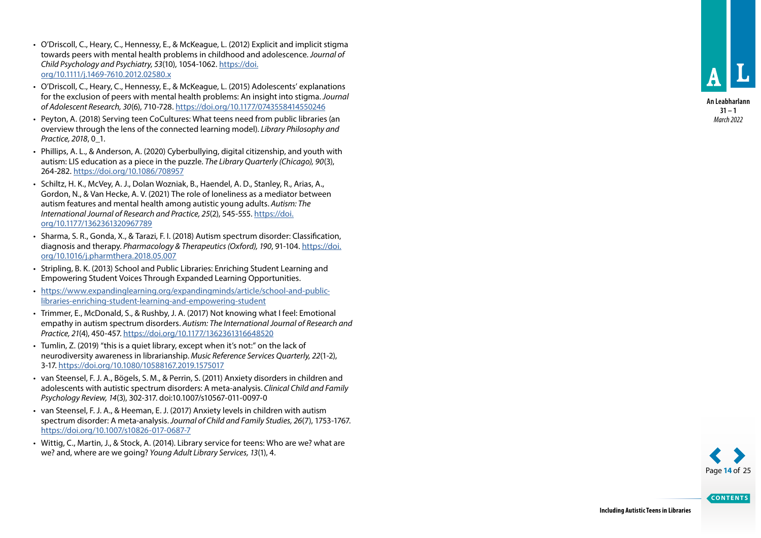- O'Driscoll, C., Heary, C., Hennessy, E., & McKeague, L. (2012) Explicit and implicit stigma towards peers with mental health problems in childhood and adolescence. *Journal of Child Psychology and Psychiatry, 53*(10), 1054-1062. [https://doi.](https://doi.org/10.1111/j.1469-7610.2012.02580.x) [org/10.1111/j.1469-7610.2012.02580.x](https://doi.org/10.1111/j.1469-7610.2012.02580.x)
- O'Driscoll, C., Heary, C., Hennessy, E., & McKeague, L. (2015) Adolescents' explanations for the exclusion of peers with mental health problems: An insight into stigma. *Journal of Adolescent Research, 30*(6), 710-728.<https://doi.org/10.1177/0743558414550246>
- Peyton, A. (2018) Serving teen CoCultures: What teens need from public libraries (an overview through the lens of the connected learning model). *Library Philosophy and Practice, 2018*, 0\_1.
- Phillips, A. L., & Anderson, A. (2020) Cyberbullying, digital citizenship, and youth with autism: LIS education as a piece in the puzzle. *The Library Quarterly (Chicago), 90*(3), 264-282.<https://doi.org/10.1086/708957>
- Schiltz, H. K., McVey, A. J., Dolan Wozniak, B., Haendel, A. D., Stanley, R., Arias, A., Gordon, N., & Van Hecke, A. V. (2021) The role of loneliness as a mediator between autism features and mental health among autistic young adults. *Autism: The International Journal of Research and Practice, 25*(2), 545-555. [https://doi.](https://doi.org/10.1177/1362361320967789) [org/10.1177/1362361320967789](https://doi.org/10.1177/1362361320967789)
- Sharma, S. R., Gonda, X., & Tarazi, F. I. (2018) Autism spectrum disorder: Classification, diagnosis and therapy. *Pharmacology & Therapeutics (Oxford), 190*, 91-104. [https://doi.](https://doi.org/10.1016/j.pharmthera.2018.05.007) [org/10.1016/j.pharmthera.2018.05.007](https://doi.org/10.1016/j.pharmthera.2018.05.007)
- Stripling, B. K. (2013) School and Public Libraries: Enriching Student Learning and Empowering Student Voices Through Expanded Learning Opportunities.
- [https://www.expandinglearning.org/expandingminds/article/school-and-public](https://www.expandinglearning.org/expandingminds/article/school-and-public-libraries-enriching-student-learning-and-empowering-student)[libraries-enriching-student-learning-and-empowering-student](https://www.expandinglearning.org/expandingminds/article/school-and-public-libraries-enriching-student-learning-and-empowering-student)
- Trimmer, E., McDonald, S., & Rushby, J. A. (2017) Not knowing what I feel: Emotional empathy in autism spectrum disorders. *Autism: The International Journal of Research and Practice, 21*(4), 450-457. <https://doi.org/10.1177/1362361316648520>
- Tumlin, Z. (2019) "this is a quiet library, except when it's not:" on the lack of neurodiversity awareness in librarianship. *Music Reference Services Quarterly, 22*(1-2), 3-17. <https://doi.org/10.1080/10588167.2019.1575017>
- van Steensel, F. J. A., Bögels, S. M., & Perrin, S. (2011) Anxiety disorders in children and adolescents with autistic spectrum disorders: A meta-analysis. *Clinical Child and Family Psychology Review, 14*(3), 302-317. doi:10.1007/s10567-011-0097-0
- van Steensel, F. J. A., & Heeman, E. J. (2017) Anxiety levels in children with autism spectrum disorder: A meta-analysis. *Journal of Child and Family Studies, 26*(7), 1753-1767. <https://doi.org/10.1007/s10826-017-0687-7>
- Wittig, C., Martin, J., & Stock, A. (2014). Library service for teens: Who are we? what are we? and, where are we going? *Young Adult Library Services, 13*(1), 4.

**An Leabharlann 31 – 1** *March 2022*

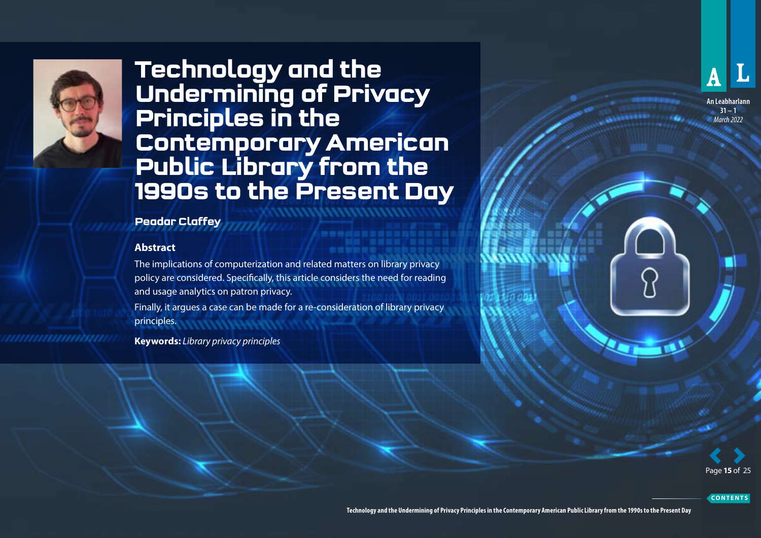<span id="page-14-0"></span>

uunnuunnuun

## **Technology and the Undermining of Privacy Principles in the Contemporary American Public Library from the 1990s to the Present Day**

### **Peadar Claffey**

### **Abstract**

The implications of computerization and related matters on library privacy policy are considered. Specifically, this article considers the need for reading and usage analytics on patron privacy.

Finally, it argues a case can be made for a re-consideration of library privacy principles.

**Keywords:** *Library privacy principles*



**An Leabharlann 31 – 1** *March 2022*

Page **15** of 25

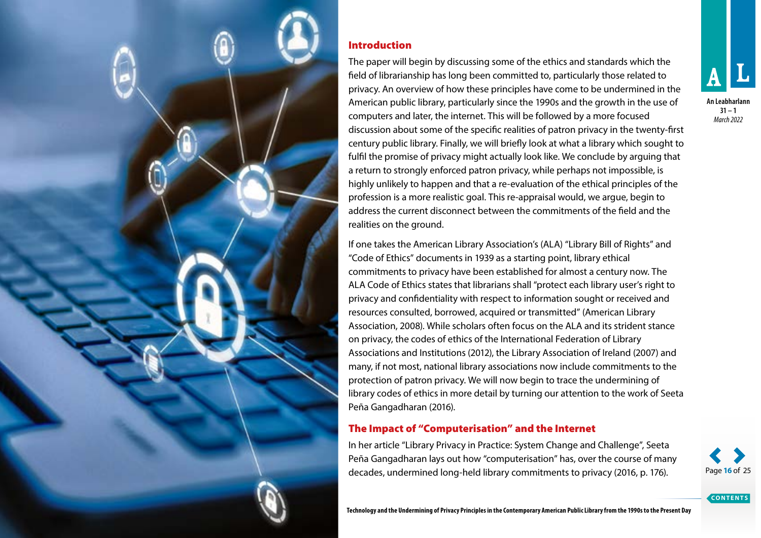

### Introduction

The paper will begin by discussing some of the ethics and standards which the field of librarianship has long been committed to, particularly those related to privacy. An overview of how these principles have come to be undermined in the American public library, particularly since the 1990s and the growth in the use of computers and later, the internet. This will be followed by a more focused discussion about some of the specific realities of patron privacy in the twenty-first century public library. Finally, we will briefly look at what a library which sought to fulfil the promise of privacy might actually look like. We conclude by arguing that a return to strongly enforced patron privacy, while perhaps not impossible, is highly unlikely to happen and that a re-evaluation of the ethical principles of the profession is a more realistic goal. This re-appraisal would, we argue, begin to address the current disconnect between the commitments of the field and the realities on the ground.

If one takes the American Library Association's (ALA) "Library Bill of Rights" and "Code of Ethics" documents in 1939 as a starting point, library ethical commitments to privacy have been established for almost a century now. The ALA Code of Ethics states that librarians shall "protect each library user's right to privacy and confidentiality with respect to information sought or received and resources consulted, borrowed, acquired or transmitted" (American Library Association, 2008). While scholars often focus on the ALA and its strident stance on privacy, the codes of ethics of the International Federation of Library Associations and Institutions (2012), the Library Association of Ireland (2007) and many, if not most, national library associations now include commitments to the protection of patron privacy. We will now begin to trace the undermining of library codes of ethics in more detail by turning our attention to the work of Seeta Peña Gangadharan (2016).

### The Impact of "Computerisation" and the Internet

In her article "Library Privacy in Practice: System Change and Challenge", Seeta Peña Gangadharan lays out how "computerisation" has, over the course of many decades, undermined long-held library commitments to privacy (2016, p. 176). Page **16** of 25

*March 2022*

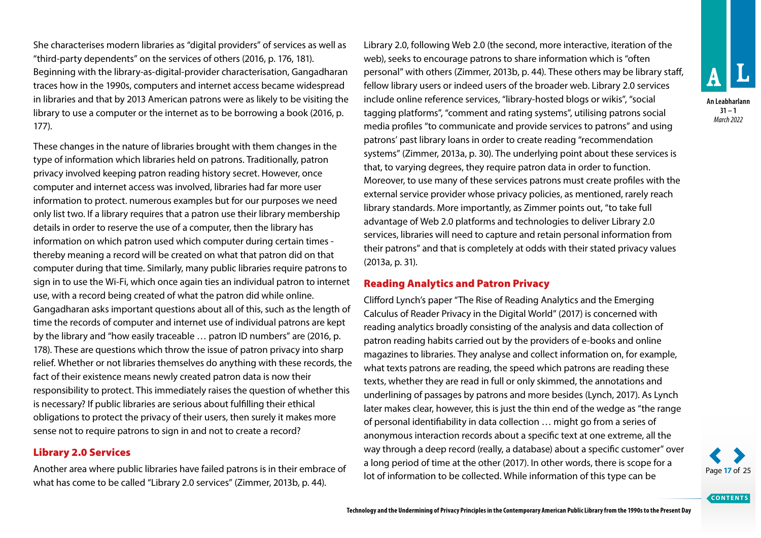She characterises modern libraries as "digital providers" of services as well as "third-party dependents" on the services of others (2016, p. 176, 181). Beginning with the library-as-digital-provider characterisation, Gangadharan traces how in the 1990s, computers and internet access became widespread in libraries and that by 2013 American patrons were as likely to be visiting the library to use a computer or the internet as to be borrowing a book (2016, p. 177).

These changes in the nature of libraries brought with them changes in the type of information which libraries held on patrons. Traditionally, patron privacy involved keeping patron reading history secret. However, once computer and internet access was involved, libraries had far more user information to protect. numerous examples but for our purposes we need only list two. If a library requires that a patron use their library membership details in order to reserve the use of a computer, then the library has information on which patron used which computer during certain times thereby meaning a record will be created on what that patron did on that computer during that time. Similarly, many public libraries require patrons to sign in to use the Wi-Fi, which once again ties an individual patron to internet use, with a record being created of what the patron did while online. Gangadharan asks important questions about all of this, such as the length of time the records of computer and internet use of individual patrons are kept by the library and "how easily traceable … patron ID numbers" are (2016, p. 178). These are questions which throw the issue of patron privacy into sharp relief. Whether or not libraries themselves do anything with these records, the fact of their existence means newly created patron data is now their responsibility to protect. This immediately raises the question of whether this is necessary? If public libraries are serious about fulfilling their ethical obligations to protect the privacy of their users, then surely it makes more sense not to require patrons to sign in and not to create a record?

### Library 2.0 Services

Another area where public libraries have failed patrons is in their embrace of what has come to be called "Library 2.0 services" (Zimmer, 2013b, p. 44).

Library 2.0, following Web 2.0 (the second, more interactive, iteration of the web), seeks to encourage patrons to share information which is "often personal" with others (Zimmer, 2013b, p. 44). These others may be library staff, fellow library users or indeed users of the broader web. Library 2.0 services include online reference services, "library-hosted blogs or wikis", "social tagging platforms", "comment and rating systems", utilising patrons social media profiles "to communicate and provide services to patrons" and using patrons' past library loans in order to create reading "recommendation systems" (Zimmer, 2013a, p. 30). The underlying point about these services is that, to varying degrees, they require patron data in order to function. Moreover, to use many of these services patrons must create profiles with the external service provider whose privacy policies, as mentioned, rarely reach library standards. More importantly, as Zimmer points out, "to take full advantage of Web 2.0 platforms and technologies to deliver Library 2.0 services, libraries will need to capture and retain personal information from their patrons" and that is completely at odds with their stated privacy values (2013a, p. 31).

### Reading Analytics and Patron Privacy

Clifford Lynch's paper "The Rise of Reading Analytics and the Emerging Calculus of Reader Privacy in the Digital World" (2017) is concerned with reading analytics broadly consisting of the analysis and data collection of patron reading habits carried out by the providers of e-books and online magazines to libraries. They analyse and collect information on, for example, what texts patrons are reading, the speed which patrons are reading these texts, whether they are read in full or only skimmed, the annotations and underlining of passages by patrons and more besides (Lynch, 2017). As Lynch later makes clear, however, this is just the thin end of the wedge as "the range of personal identifiability in data collection … might go from a series of anonymous interaction records about a specific text at one extreme, all the way through a deep record (really, a database) about a specific customer" over a long period of time at the other (2017). In other words, there is scope for a lot of information to be collected. While information of this type can be Page **17** of 25



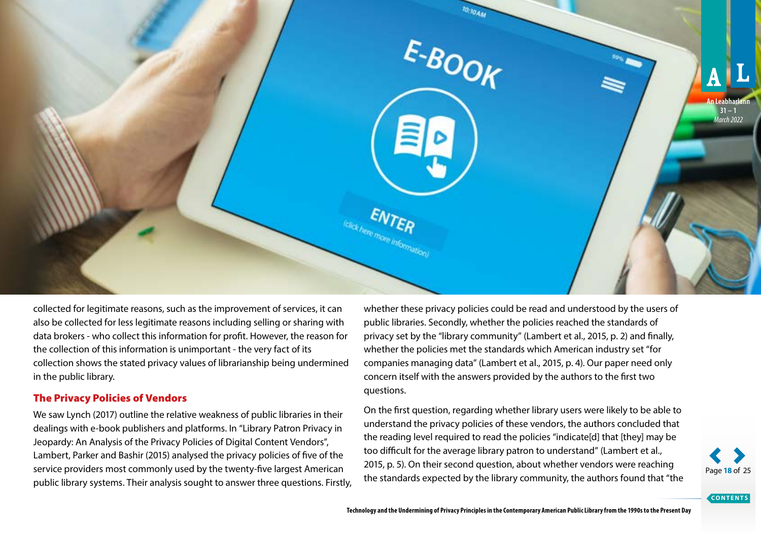

collected for legitimate reasons, such as the improvement of services, it can also be collected for less legitimate reasons including selling or sharing with data brokers - who collect this information for profit. However, the reason for the collection of this information is unimportant - the very fact of its collection shows the stated privacy values of librarianship being undermined in the public library.

### The Privacy Policies of Vendors

We saw Lynch (2017) outline the relative weakness of public libraries in their dealings with e-book publishers and platforms. In "Library Patron Privacy in Jeopardy: An Analysis of the Privacy Policies of Digital Content Vendors", Lambert, Parker and Bashir (2015) analysed the privacy policies of five of the service providers most commonly used by the twenty-five largest American public library systems. Their analysis sought to answer three questions. Firstly, whether these privacy policies could be read and understood by the users of public libraries. Secondly, whether the policies reached the standards of privacy set by the "library community" (Lambert et al., 2015, p. 2) and finally, whether the policies met the standards which American industry set "for companies managing data" (Lambert et al., 2015, p. 4). Our paper need only concern itself with the answers provided by the authors to the first two questions.

On the first question, regarding whether library users were likely to be able to understand the privacy policies of these vendors, the authors concluded that the reading level required to read the policies "indicate[d] that [they] may be too difficult for the average library patron to understand" (Lambert et al., 2015, p. 5). On their second question, about whether vendors were reaching the standards expected by the library community, the authors found that "the Page 18 of 25

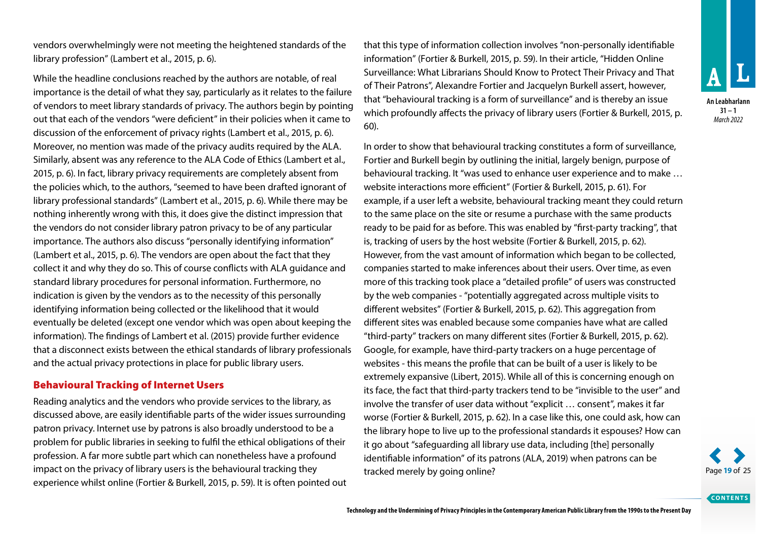vendors overwhelmingly were not meeting the heightened standards of the library profession" (Lambert et al., 2015, p. 6).

While the headline conclusions reached by the authors are notable, of real importance is the detail of what they say, particularly as it relates to the failure of vendors to meet library standards of privacy. The authors begin by pointing out that each of the vendors "were deficient" in their policies when it came to discussion of the enforcement of privacy rights (Lambert et al., 2015, p. 6). Moreover, no mention was made of the privacy audits required by the ALA. Similarly, absent was any reference to the ALA Code of Ethics (Lambert et al., 2015, p. 6). In fact, library privacy requirements are completely absent from the policies which, to the authors, "seemed to have been drafted ignorant of library professional standards" (Lambert et al., 2015, p. 6). While there may be nothing inherently wrong with this, it does give the distinct impression that the vendors do not consider library patron privacy to be of any particular importance. The authors also discuss "personally identifying information" (Lambert et al., 2015, p. 6). The vendors are open about the fact that they collect it and why they do so. This of course conflicts with ALA guidance and standard library procedures for personal information. Furthermore, no indication is given by the vendors as to the necessity of this personally identifying information being collected or the likelihood that it would eventually be deleted (except one vendor which was open about keeping the information). The findings of Lambert et al. (2015) provide further evidence that a disconnect exists between the ethical standards of library professionals and the actual privacy protections in place for public library users.

### Behavioural Tracking of Internet Users

Reading analytics and the vendors who provide services to the library, as discussed above, are easily identifiable parts of the wider issues surrounding patron privacy. Internet use by patrons is also broadly understood to be a problem for public libraries in seeking to fulfil the ethical obligations of their profession. A far more subtle part which can nonetheless have a profound impact on the privacy of library users is the behavioural tracking they experience whilst online (Fortier & Burkell, 2015, p. 59). It is often pointed out that this type of information collection involves "non-personally identifiable information" (Fortier & Burkell, 2015, p. 59). In their article, "Hidden Online Surveillance: What Librarians Should Know to Protect Their Privacy and That of Their Patrons", Alexandre Fortier and Jacquelyn Burkell assert, however, that "behavioural tracking is a form of surveillance" and is thereby an issue which profoundly affects the privacy of library users (Fortier & Burkell, 2015, p. 60).

In order to show that behavioural tracking constitutes a form of surveillance, Fortier and Burkell begin by outlining the initial, largely benign, purpose of behavioural tracking. It "was used to enhance user experience and to make … website interactions more efficient" (Fortier & Burkell, 2015, p. 61). For example, if a user left a website, behavioural tracking meant they could return to the same place on the site or resume a purchase with the same products ready to be paid for as before. This was enabled by "first-party tracking", that is, tracking of users by the host website (Fortier & Burkell, 2015, p. 62). However, from the vast amount of information which began to be collected, companies started to make inferences about their users. Over time, as even more of this tracking took place a "detailed profile" of users was constructed by the web companies - "potentially aggregated across multiple visits to different websites" (Fortier & Burkell, 2015, p. 62). This aggregation from different sites was enabled because some companies have what are called "third-party" trackers on many different sites (Fortier & Burkell, 2015, p. 62). Google, for example, have third-party trackers on a huge percentage of websites - this means the profile that can be built of a user is likely to be extremely expansive (Libert, 2015). While all of this is concerning enough on its face, the fact that third-party trackers tend to be "invisible to the user" and involve the transfer of user data without "explicit … consent", makes it far worse (Fortier & Burkell, 2015, p. 62). In a case like this, one could ask, how can the library hope to live up to the professional standards it espouses? How can it go about "safeguarding all library use data, including [the] personally identifiable information" of its patrons (ALA, 2019) when patrons can be tracked merely by going online? **Page 19** of 25



**An Leabharlann 31 – 1** *March 2022*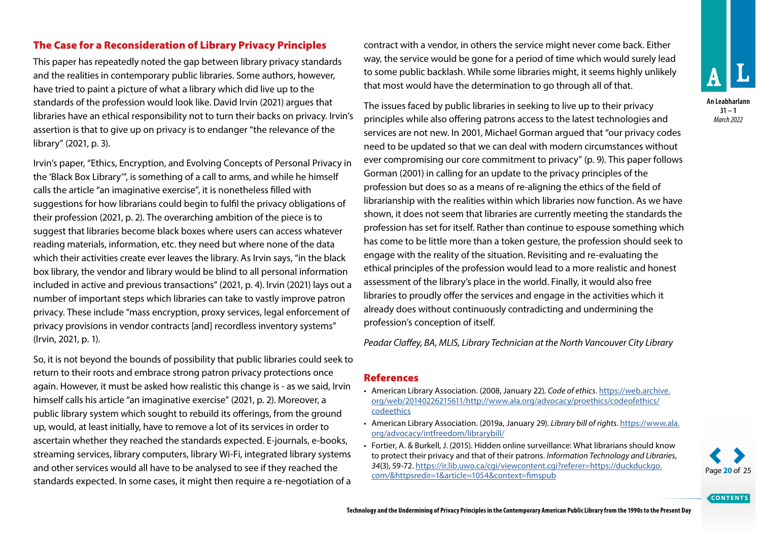### The Case for a Reconsideration of Library Privacy Principles

This paper has repeatedly noted the gap between library privacy standards and the realities in contemporary public libraries. Some authors, however, have tried to paint a picture of what a library which did live up to the standards of the profession would look like. David Irvin (2021) argues that libraries have an ethical responsibility not to turn their backs on privacy. Irvin's assertion is that to give up on privacy is to endanger "the relevance of the library" (2021, p. 3).

Irvin's paper, "Ethics, Encryption, and Evolving Concepts of Personal Privacy in the 'Black Box Library'", is something of a call to arms, and while he himself calls the article "an imaginative exercise", it is nonetheless filled with suggestions for how librarians could begin to fulfil the privacy obligations of their profession (2021, p. 2). The overarching ambition of the piece is to suggest that libraries become black boxes where users can access whatever reading materials, information, etc. they need but where none of the data which their activities create ever leaves the library. As Irvin says, "in the black box library, the vendor and library would be blind to all personal information included in active and previous transactions" (2021, p. 4). Irvin (2021) lays out a number of important steps which libraries can take to vastly improve patron privacy. These include "mass encryption, proxy services, legal enforcement of privacy provisions in vendor contracts [and] recordless inventory systems" (Irvin, 2021, p. 1).

So, it is not beyond the bounds of possibility that public libraries could seek to return to their roots and embrace strong patron privacy protections once again. However, it must be asked how realistic this change is - as we said, Irvin himself calls his article "an imaginative exercise" (2021, p. 2). Moreover, a public library system which sought to rebuild its offerings, from the ground up, would, at least initially, have to remove a lot of its services in order to ascertain whether they reached the standards expected. E-journals, e-books, streaming services, library computers, library Wi-Fi, integrated library systems and other services would all have to be analysed to see if they reached the standards expected. In some cases, it might then require a re-negotiation of a

contract with a vendor, in others the service might never come back. Either way, the service would be gone for a period of time which would surely lead to some public backlash. While some libraries might, it seems highly unlikely that most would have the determination to go through all of that.

The issues faced by public libraries in seeking to live up to their privacy principles while also offering patrons access to the latest technologies and services are not new. In 2001, Michael Gorman argued that "our privacy codes need to be updated so that we can deal with modern circumstances without ever compromising our core commitment to privacy" (p. 9). This paper follows Gorman (2001) in calling for an update to the privacy principles of the profession but does so as a means of re-aligning the ethics of the field of librarianship with the realities within which libraries now function. As we have shown, it does not seem that libraries are currently meeting the standards the profession has set for itself. Rather than continue to espouse something which has come to be little more than a token gesture, the profession should seek to engage with the reality of the situation. Revisiting and re-evaluating the ethical principles of the profession would lead to a more realistic and honest assessment of the library's place in the world. Finally, it would also free libraries to proudly offer the services and engage in the activities which it already does without continuously contradicting and undermining the profession's conception of itself.

*Peadar Claffey, BA, MLIS, Library Technician at the North Vancouver City Library*

### References

- American Library Association. (2008, January 22). *Code of ethics*. [https://web.archive.](https://web.archive.org/web/20140226215611/http://www.ala.org/advocacy/proethics/codeofethics/codeethics) [org/web/20140226215611/http://www.ala.org/advocacy/proethics/codeofethics/](https://web.archive.org/web/20140226215611/http://www.ala.org/advocacy/proethics/codeofethics/codeethics) [codeethics](https://web.archive.org/web/20140226215611/http://www.ala.org/advocacy/proethics/codeofethics/codeethics)
- American Library Association. (2019a, January 29). *Library bill of rights*. [https://www.ala.](https://www.ala.org/advocacy/intfreedom/librarybill/) [org/advocacy/intfreedom/librarybill/](https://www.ala.org/advocacy/intfreedom/librarybill/)
- Fortier, A. & Burkell, J. (2015). Hidden online surveillance: What librarians should know to protect their privacy and that of their patrons. *Information Technology and Libraries*, *34*(3), 59-72. [https://ir.lib.uwo.ca/cgi/viewcontent.cgi?referer=https://duckduckgo.](https://ir.lib.uwo.ca/cgi/viewcontent.cgi?referer=https://duckduckgo.com/&httpsredir=1&article=1054&context=fimspub) [com/&httpsredir=1&article=1054&context=fimspub](https://ir.lib.uwo.ca/cgi/viewcontent.cgi?referer=https://duckduckgo.com/&httpsredir=1&article=1054&context=fimspub) Page **20** of 25

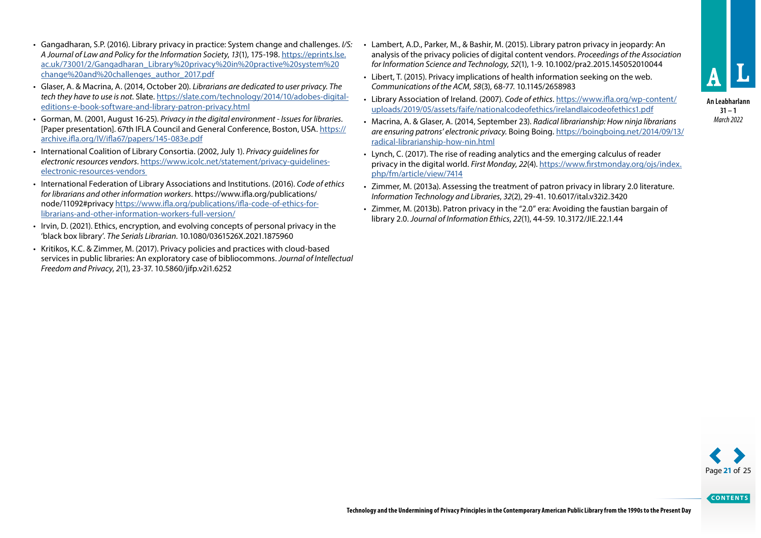- Gangadharan, S.P. (2016). Library privacy in practice: System change and challenges. *I/S: A Journal of Law and Policy for the Information Society*, *13*(1), 175-198. [https://eprints.lse.](https://eprints.lse.ac.uk/73001/2/Gangadharan_Library%252520privacy%252520in%252520practive%252520system%252520change%252520and%252520challenges_author_2017.pdf) [ac.uk/73001/2/Gangadharan\\_Library%20privacy%20in%20practive%20system%20](https://eprints.lse.ac.uk/73001/2/Gangadharan_Library%252520privacy%252520in%252520practive%252520system%252520change%252520and%252520challenges_author_2017.pdf) [change%20and%20challenges\\_author\\_2017.pdf](https://eprints.lse.ac.uk/73001/2/Gangadharan_Library%252520privacy%252520in%252520practive%252520system%252520change%252520and%252520challenges_author_2017.pdf)
- Glaser, A. & Macrina, A. (2014, October 20). *Librarians are dedicated to user privacy. The tech they have to use is not*. Slate. [https://slate.com/technology/2014/10/adobes-digital](https://slate.com/technology/2014/10/adobes-digital-editions-e-book-software-and-library-patron-privacy.html)[editions-e-book-software-and-library-patron-privacy.html](https://slate.com/technology/2014/10/adobes-digital-editions-e-book-software-and-library-patron-privacy.html)
- Gorman, M. (2001, August 16-25). *Privacy in the digital environment Issues for libraries*. [Paper presentation]. 67th IFLA Council and General Conference, Boston, USA. [https://](https://archive.ifla.org/IV/ifla67/papers/145-083e.pdf) [archive.ifla.org/IV/ifla67/papers/145-083e.pdf](https://archive.ifla.org/IV/ifla67/papers/145-083e.pdf)
- International Coalition of Library Consortia. (2002, July 1). *Privacy guidelines for electronic resources vendors*. [https://www.icolc.net/statement/privacy-guidelines](https://www.icolc.net/statement/privacy-guidelines-electronic-resources-vendors)[electronic-resources-vendors](https://www.icolc.net/statement/privacy-guidelines-electronic-resources-vendors)
- International Federation of Library Associations and Institutions. (2016). *Code of ethics for librarians and other information workers*. [https://www.ifla.org/publications/](https://www.ifla.org/publications/node/11092%23privacy) [node/11092#privacy](https://www.ifla.org/publications/node/11092%23privacy) [https://www.ifla.org/publications/ifla-code-of-ethics-for](https://www.ifla.org/publications/ifla-code-of-ethics-for-librarians-and-other-information-workers-full-version/)[librarians-and-other-information-workers-full-version/](https://www.ifla.org/publications/ifla-code-of-ethics-for-librarians-and-other-information-workers-full-version/)
- Irvin, D. (2021). Ethics, encryption, and evolving concepts of personal privacy in the 'black box library'. *The Serials Librarian*. 10.1080/0361526X.2021.1875960
- Kritikos, K.C. & Zimmer, M. (2017). Privacy policies and practices with cloud-based services in public libraries: An exploratory case of bibliocommons. *Journal of Intellectual Freedom and Privacy*, *2*(1), 23-37. 10.5860/jifp.v2i1.6252
- Lambert, A.D., Parker, M., & Bashir, M. (2015). Library patron privacy in jeopardy: An analysis of the privacy policies of digital content vendors. *Proceedings of the Association for Information Science and Technology*, *52*(1), 1-9. 10.1002/pra2.2015.145052010044
- Libert, T. (2015). Privacy implications of health information seeking on the web. *Communications of the ACM*, *58*(3), 68-77. 10.1145/2658983
- Library Association of Ireland. (2007). *Code of ethics*. [https://www.ifla.org/wp-content/](https://www.ifla.org/wp-content/uploads/2019/05/assets/faife/nationalcodeofethics/irelandlaicodeofethics1.pdf) [uploads/2019/05/assets/faife/nationalcodeofethics/irelandlaicodeofethics1.pdf](https://www.ifla.org/wp-content/uploads/2019/05/assets/faife/nationalcodeofethics/irelandlaicodeofethics1.pdf)
- Macrina, A. & Glaser, A. (2014, September 23). *Radical librarianship: How ninja librarians are ensuring patrons' electronic privacy.* Boing Boing. [https://boingboing.net/2014/09/13/](https://boingboing.net/2014/09/13/radical-librarianship-how-nin.html) [radical-librarianship-how-nin.html](https://boingboing.net/2014/09/13/radical-librarianship-how-nin.html)
- Lynch, C. (2017). The rise of reading analytics and the emerging calculus of reader privacy in the digital world. *First Monday*, *22*(4). [https://www.firstmonday.org/ojs/index.](https://www.firstmonday.org/ojs/index.php/fm/article/view/7414) [php/fm/article/view/7414](https://www.firstmonday.org/ojs/index.php/fm/article/view/7414)
- Zimmer, M. (2013a). Assessing the treatment of patron privacy in library 2.0 literature. *Information Technology and Libraries*, *32*(2), 29-41. 10.6017/ital.v32i2.3420
- Zimmer, M. (2013b). Patron privacy in the "2.0" era: Avoiding the faustian bargain of library 2.0. *Journal of Information Ethics*, *22*(1), 44-59. 10.3172/JIE.22.1.44



**An Leabharlann 31 – 1** *March 2022*

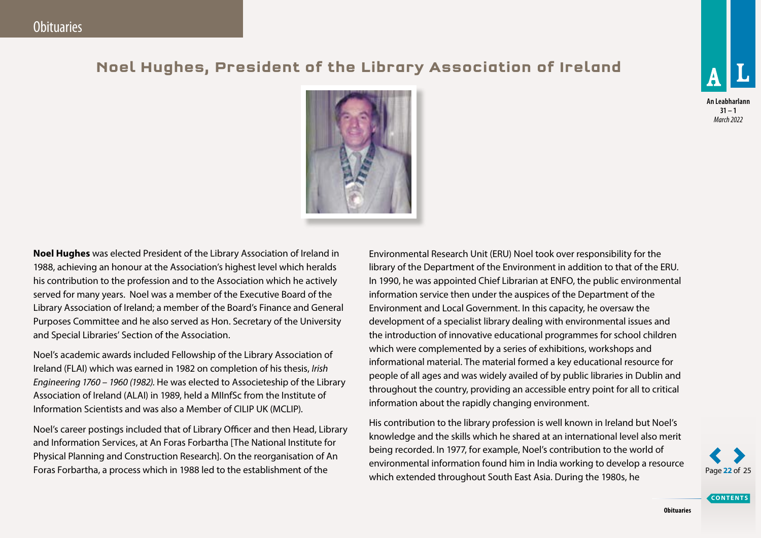## <span id="page-21-0"></span>**Noel Hughes, President of the Library Association of Ireland**



**An Leabharlann 31 – 1** *March 2022*



Noel's academic awards included Fellowship of the Library Association of Ireland (FLAI) which was earned in 1982 on completion of his thesis, *Irish Engineering 1760 – 1960 (1982).* He was elected to Associeteship of the Library Association of Ireland (ALAI) in 1989, held a MIInfSc from the Institute of Information Scientists and was also a Member of CILIP UK (MCLIP).

Noel's career postings included that of Library Officer and then Head, Library and Information Services, at An Foras Forbartha [The National Institute for Physical Planning and Construction Research]. On the reorganisation of An Foras Forbartha, a process which in 1988 led to the establishment of the

Environmental Research Unit (ERU) Noel took over responsibility for the library of the Department of the Environment in addition to that of the ERU. In 1990, he was appointed Chief Librarian at ENFO, the public environmental information service then under the auspices of the Department of the Environment and Local Government. In this capacity, he oversaw the development of a specialist library dealing with environmental issues and the introduction of innovative educational programmes for school children which were complemented by a series of exhibitions, workshops and informational material. The material formed a key educational resource for people of all ages and was widely availed of by public libraries in Dublin and throughout the country, providing an accessible entry point for all to critical information about the rapidly changing environment.

His contribution to the library profession is well known in Ireland but Noel's knowledge and the skills which he shared at an international level also merit being recorded. In 1977, for example, Noel's contribution to the world of environmental information found him in India working to develop a resource which extended throughout South East Asia. During the 1980s, he

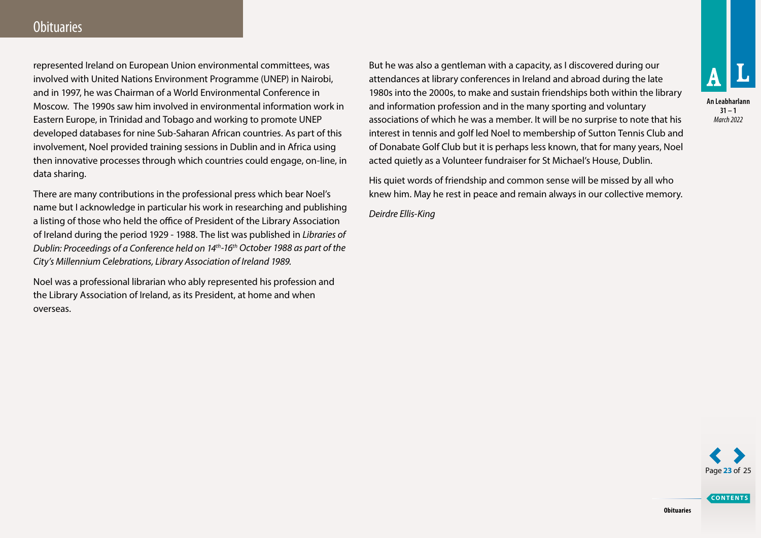### **Obituaries**

represented Ireland on European Union environmental committees, was involved with United Nations Environment Programme (UNEP) in Nairobi, and in 1997, he was Chairman of a World Environmental Conference in Moscow. The 1990s saw him involved in environmental information work in Eastern Europe, in Trinidad and Tobago and working to promote UNEP developed databases for nine Sub-Saharan African countries. As part of this involvement, Noel provided training sessions in Dublin and in Africa using then innovative processes through which countries could engage, on-line, in data sharing.

There are many contributions in the professional press which bear Noel's name but I acknowledge in particular his work in researching and publishing a listing of those who held the office of President of the Library Association of Ireland during the period 1929 - 1988. The list was published in *Libraries of Dublin: Proceedings of a Conference held on 14th-16th October 1988 as part of the City's Millennium Celebrations, Library Association of Ireland 1989.*

Noel was a professional librarian who ably represented his profession and the Library Association of Ireland, as its President, at home and when overseas.

But he was also a gentleman with a capacity, as I discovered during our attendances at library conferences in Ireland and abroad during the late 1980s into the 2000s, to make and sustain friendships both within the library and information profession and in the many sporting and voluntary associations of which he was a member. It will be no surprise to note that his interest in tennis and golf led Noel to membership of Sutton Tennis Club and of Donabate Golf Club but it is perhaps less known, that for many years, Noel acted quietly as a Volunteer fundraiser for St Michael's House, Dublin.

His quiet words of friendship and common sense will be missed by all who knew him. May he rest in peace and remain always in our collective memory.

*Deirdre Ellis-King* 



**An Leabharlann 31 – 1** *March 2022*

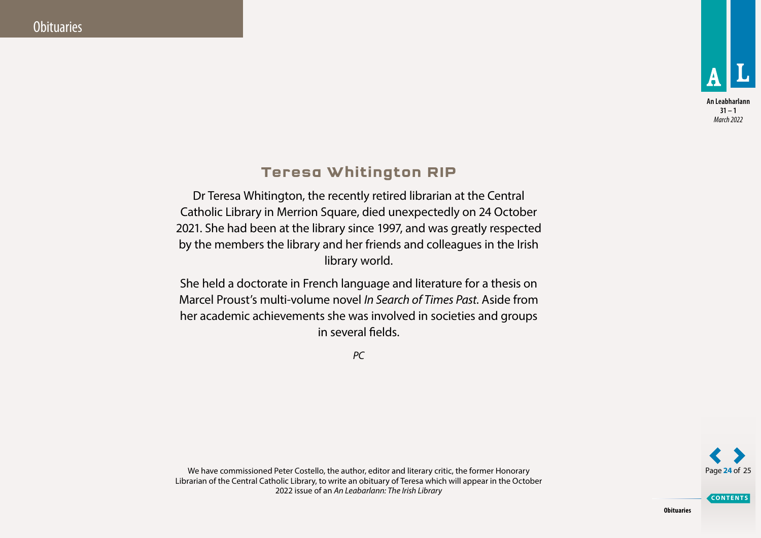

**An Leabharlann 31 – 1** *March 2022*

### **Teresa Whitington RIP**

<span id="page-23-0"></span>Dr Teresa Whitington, the recently retired librarian at the Central Catholic Library in Merrion Square, died unexpectedly on 24 October 2021. She had been at the library since 1997, and was greatly respected by the members the library and her friends and colleagues in the Irish library world.

She held a doctorate in French language and literature for a thesis on Marcel Proust's multi-volume novel *In Search of Times Past*. Aside from her academic achievements she was involved in societies and groups in several fields.

*PC*



**CONTENTS**

We have commissioned Peter Costello, the author, editor and literary critic, the former Honorary Librarian of the Central Catholic Library, to write an obituary of Teresa which will appear in the October 2022 issue of an *An Leabarlann: The Irish Library*

**Obituaries**